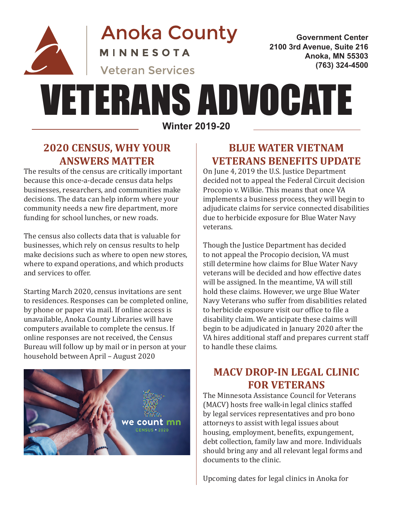

**Anoka County** MINNESOTA

**Government Center 2100 3rd Avenue, Suite 216 Anoka, MN 55303 (763) 324-4500**

# **Veteran Services**

# VETERANS ADVOCATE

**Winter 2019-20**

#### **2020 CENSUS, WHY YOUR ANSWERS MATTER**

The results of the census are critically important because this once-a-decade census data helps businesses, researchers, and communities make decisions. The data can help inform where your community needs a new fire department, more funding for school lunches, or new roads.

The census also collects data that is valuable for businesses, which rely on census results to help make decisions such as where to open new stores, where to expand operations, and which products and services to offer.

Starting March 2020, census invitations are sent to residences. Responses can be completed online, by phone or paper via mail. If online access is unavailable, Anoka County Libraries will have computers available to complete the census. If online responses are not received, the Census Bureau will follow up by mail or in person at your household between April – August 2020



### **BLUE WATER VIETNAM VETERANS BENEFITS UPDATE**

On June 4, 2019 the U.S. Justice Department decided not to appeal the Federal Circuit decision Procopio v. Wilkie. This means that once VA implements a business process, they will begin to adjudicate claims for service connected disabilities due to herbicide exposure for Blue Water Navy veterans.

Though the Justice Department has decided to not appeal the Procopio decision, VA must still determine how claims for Blue Water Navy veterans will be decided and how effective dates will be assigned. In the meantime, VA will still hold these claims. However, we urge Blue Water Navy Veterans who suffer from disabilities related to herbicide exposure visit our office to file a disability claim. We anticipate these claims will begin to be adjudicated in January 2020 after the VA hires additional staff and prepares current staff to handle these claims.

# **MACV DROP-IN LEGAL CLINIC FOR VETERANS**

The Minnesota Assistance Council for Veterans (MACV) hosts free walk-in legal clinics staffed by legal services representatives and pro bono attorneys to assist with legal issues about housing, employment, benefits, expungement, debt collection, family law and more. Individuals should bring any and all relevant legal forms and documents to the clinic.

Upcoming dates for legal clinics in Anoka for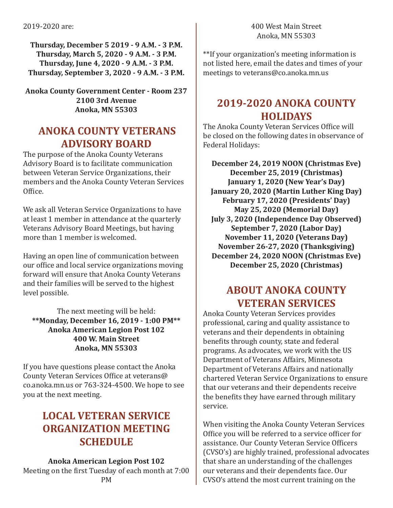**Thursday, December 5 2019 - 9 A.M. - 3 P.M. Thursday, March 5, 2020 - 9 A.M. - 3 P.M. Thursday, June 4, 2020 - 9 A.M. - 3 P.M. Thursday, September 3, 2020 - 9 A.M. - 3 P.M.**

**Anoka County Government Center - Room 237 2100 3rd Avenue Anoka, MN 55303**

#### **ANOKA COUNTY VETERANS ADVISORY BOARD**

The purpose of the Anoka County Veterans Advisory Board is to facilitate communication between Veteran Service Organizations, their members and the Anoka County Veteran Services Office.

We ask all Veteran Service Organizations to have at least 1 member in attendance at the quarterly Veterans Advisory Board Meetings, but having more than 1 member is welcomed.

Having an open line of communication between our office and local service organizations moving forward will ensure that Anoka County Veterans and their families will be served to the highest level possible.

The next meeting will be held: **\*\*Monday, December 16, 2019 - 1:00 PM\*\* Anoka American Legion Post 102 400 W. Main Street Anoka, MN 55303** 

If you have questions please contact the Anoka County Veteran Services Office at veterans@ co.anoka.mn.us or 763-324-4500. We hope to see you at the next meeting.

## **LOCAL VETERAN SERVICE ORGANIZATION MEETING SCHEDULE**

#### **Anoka American Legion Post 102**

Meeting on the first Tuesday of each month at 7:00 PM

\*\*If your organization's meeting information is not listed here, email the dates and times of your meetings to veterans@co.anoka.mn.us

#### **2019-2020 ANOKA COUNTY HOLIDAYS**

The Anoka County Veteran Services Office will be closed on the following dates in observance of Federal Holidays:

**December 24, 2019 NOON (Christmas Eve) December 25, 2019 (Christmas) January 1, 2020 (New Year's Day) January 20, 2020 (Martin Luther King Day) February 17, 2020 (Presidents' Day) May 25, 2020 (Memorial Day) July 3, 2020 (Independence Day Observed) September 7, 2020 (Labor Day) November 11, 2020 (Veterans Day) November 26-27, 2020 (Thanksgiving) December 24, 2020 NOON (Christmas Eve) December 25, 2020 (Christmas)**

# **ABOUT ANOKA COUNTY VETERAN SERVICES**

Anoka County Veteran Services provides professional, caring and quality assistance to veterans and their dependents in obtaining benefits through county, state and federal programs. As advocates, we work with the US Department of Veterans Affairs, Minnesota Department of Veterans Affairs and nationally chartered Veteran Service Organizations to ensure that our veterans and their dependents receive the benefits they have earned through military service.

When visiting the Anoka County Veteran Services Office you will be referred to a service officer for assistance. Our County Veteran Service Officers (CVSO's) are highly trained, professional advocates that share an understanding of the challenges our veterans and their dependents face. Our CVSO's attend the most current training on the